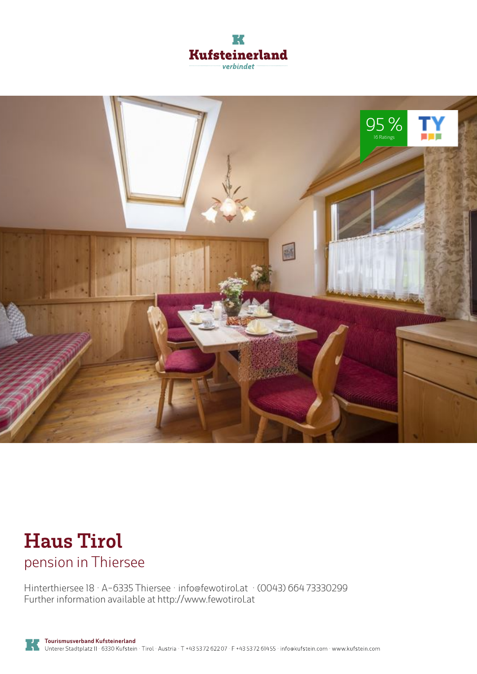



## **Haus Tirol** pension in Thiersee

Hinterthiersee 18 · A-6335 Thiersee · **info@fewotirol.at** · **(0043) 664 73330299** Further information available at **http://www.fewotirol.at**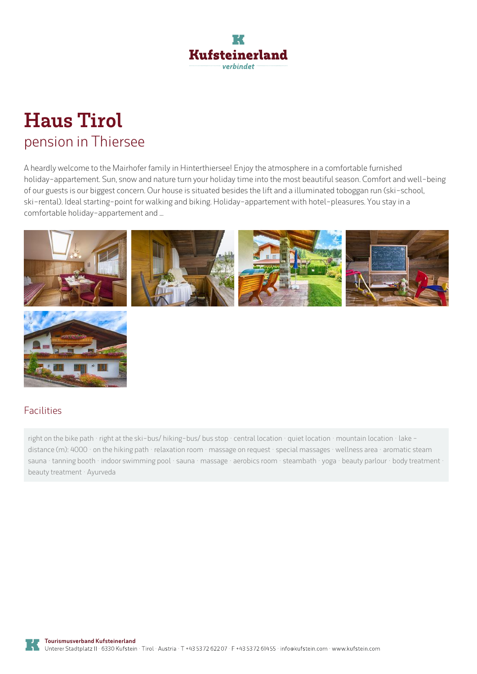

# **Haus Tirol** pension in Thiersee

A heardly welcome to the Mairhofer family in Hinterthiersee! Enjoy the atmosphere in <sup>a</sup> comfortable furnished holiday-appartement. Sun, snow and nature turn your holiday time into the most beautiful season. Comfort and well-being of our guests is our biggest concern. Our house is situated besides the lift anda illuminated toboggan run (ski-school, ski-rental). Ideal starting-point for walking and biking. Holiday-appartement with hotel-pleasures. You stay in <sup>a</sup> comfortable holiday-appartement and...





### Facilities

right on the bike path · right at the ski-bus/ hiking-bus/ bus stop · central location · quiet location · mountain location · lake distance (m): 4000 · on the hiking path · relaxation room · massage on request · special massages · wellness area · aromatic steam sauna · tanning booth · indoor swimming pool · sauna · massage · aerobics room · steambath · yoga · beauty parlour · body treatment · beauty treatment · Ayurveda